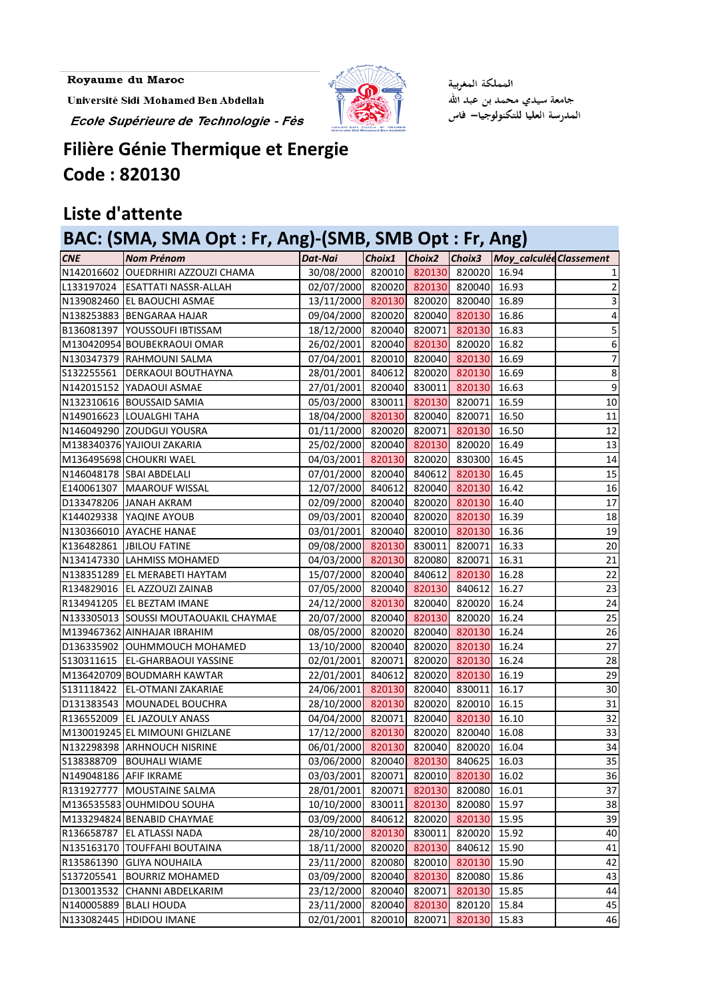Université Sidi Mohamed Ben Abdellah Ecole Supérieure de Technologie - Fès



المملكة المغربية جامعة سيدي محمد بن عبد الله المدرسة العليا للتكنولوجيا— فاس

## **Filière Génie Thermique et Energie Code : 820130**

## **Liste d'attente**

## **BAC: (SMA, SMA Opt : Fr, Ang)-(SMB, SMB Opt : Fr, Ang)**

| <b>CNE</b>             | <b>Nom Prénom</b>                     | Dat-Nai                               |        |        |                     | Choix1 Choix2 Choix3 Moy_calculéd Classement |                 |
|------------------------|---------------------------------------|---------------------------------------|--------|--------|---------------------|----------------------------------------------|-----------------|
|                        | N142016602 OUEDRHIRI AZZOUZI CHAMA    | 30/08/2000 820010 820130 820020 16.94 |        |        |                     |                                              |                 |
|                        | L133197024   ESATTATI NASSR-ALLAH     | 02/07/2000 820020 820130 820040 16.93 |        |        |                     |                                              |                 |
|                        | N139082460 EL BAOUCHI ASMAE           | 13/11/2000 820130 820020 820040 16.89 |        |        |                     |                                              | 3               |
|                        | N138253883 BENGARAA HAJAR             | 09/04/2000 820020 820040 820130 16.86 |        |        |                     |                                              | 4               |
|                        | B136081397   YOUSSOUFI IBTISSAM       | 18/12/2000 820040 820071 820130 16.83 |        |        |                     |                                              | 5               |
|                        | M130420954 BOUBEKRAOUI OMAR           | 26/02/2001 820040 820130 820020 16.82 |        |        |                     |                                              | 6               |
|                        | N130347379 RAHMOUNI SALMA             | 07/04/2001 820010 820040 820130 16.69 |        |        |                     |                                              |                 |
|                        | S132255561   DERKAOUI BOUTHAYNA       | 28/01/2001 840612 820020 820130 16.69 |        |        |                     |                                              | 8               |
|                        | N142015152 YADAOUI ASMAE              | 27/01/2001 820040 830011 820130 16.63 |        |        |                     |                                              | $\overline{9}$  |
|                        | N132310616 BOUSSAID SAMIA             | 05/03/2000 830011 820130 820071 16.59 |        |        |                     |                                              | 10              |
|                        | N149016623 LOUALGHI TAHA              | 18/04/2000 820130 820040 820071 16.50 |        |        |                     |                                              | 11              |
|                        | N146049290 ZOUDGUI YOUSRA             | 01/11/2000 820020 820071 820130 16.50 |        |        |                     |                                              | 12              |
|                        | M138340376 YAJIOUI ZAKARIA            | 25/02/2000 820040 820130 820020 16.49 |        |        |                     |                                              | 13              |
|                        | M136495698 CHOUKRI WAEL               | 04/03/2001 820130 820020 830300 16.45 |        |        |                     |                                              | 14              |
|                        | N146048178 SBAI ABDELALI              | 07/01/2000 820040 840612 820130 16.45 |        |        |                     |                                              | 15              |
|                        | E140061307   MAAROUF WISSAL           | 12/07/2000 840612 820040 820130 16.42 |        |        |                     |                                              | 16              |
|                        | D133478206 JANAH AKRAM                | 02/09/2000 820040 820020 820130 16.40 |        |        |                     |                                              | 17              |
|                        | K144029338   YAQINE AYOUB             | 09/03/2001 820040 820020 820130 16.39 |        |        |                     |                                              | 18              |
|                        | N130366010 AYACHE HANAE               | 03/01/2001 820040 820010 820130 16.36 |        |        |                     |                                              | 19              |
|                        | K136482861 JBILOU FATINE              | 09/08/2000 820130 830011 820071 16.33 |        |        |                     |                                              | 20              |
|                        | N134147330 LAHMISS MOHAMED            | 04/03/2000 820130 820080 820071 16.31 |        |        |                     |                                              | 21              |
|                        | N138351289 EL MERABETI HAYTAM         | 15/07/2000 820040 840612 820130 16.28 |        |        |                     |                                              | 22              |
|                        | R134829016   EL AZZOUZI ZAINAB        | 07/05/2000 820040 820130 840612 16.27 |        |        |                     |                                              | 23              |
|                        | R134941205 EL BEZTAM IMANE            | 24/12/2000 820130 820040 820020 16.24 |        |        |                     |                                              | 24              |
|                        | N133305013 SOUSSI MOUTAOUAKIL CHAYMAE | 20/07/2000 820040 820130 820020 16.24 |        |        |                     |                                              | 25              |
|                        | M139467362 AINHAJAR IBRAHIM           | 08/05/2000 820020 820040 820130 16.24 |        |        |                     |                                              | 26              |
|                        | D136335902 OUHMMOUCH MOHAMED          | 13/10/2000 820040 820020 820130 16.24 |        |        |                     |                                              | 27              |
|                        | S130311615   EL-GHARBAOUI YASSINE     | 02/01/2001 820071 820020 820130 16.24 |        |        |                     |                                              | 28              |
|                        | M136420709 BOUDMARH KAWTAR            | 22/01/2001 840612 820020 820130 16.19 |        |        |                     |                                              | 29              |
|                        | S131118422 EL-OTMANI ZAKARIAE         | 24/06/2001 820130 820040 830011 16.17 |        |        |                     |                                              | 30 <sup>1</sup> |
|                        | D131383543   MOUNADEL BOUCHRA         | 28/10/2000 820130                     |        |        | 820020 820010 16.15 |                                              | 31              |
|                        | R136552009 EL JAZOULY ANASS           | 04/04/2000 820071                     |        |        | 820040 820130       | 16.10                                        | 32              |
|                        | M130019245 EL MIMOUNI GHIZLANE        | 17/12/2000 820130                     |        | 820020 | 820040              | 16.08                                        | 33              |
|                        | N132298398 ARHNOUCH NISRINE           | 06/01/2000 820130                     |        | 820040 | 820020              | 16.04                                        | 34              |
| S138388709             | <b>BOUHALI WIAME</b>                  | 03/06/2000                            | 820040 | 820130 | 840625              | 16.03                                        | 35              |
| N149048186 AFIF IKRAME |                                       | 03/03/2001                            | 820071 | 820010 | 820130              | 16.02                                        | 36              |
|                        | R131927777   MOUSTAINE SALMA          | 28/01/2001                            | 820071 |        | 820130 820080       | 16.01                                        | 37              |
|                        | M136535583 OUHMIDOU SOUHA             | 10/10/2000                            | 830011 | 820130 | 820080 15.97        |                                              | 38              |
|                        | M133294824 BENABID CHAYMAE            | 03/09/2000                            | 840612 | 820020 | 820130              | 15.95                                        | 39              |
| R136658787             | <b>EL ATLASSI NADA</b>                | 28/10/2000 820130                     |        | 830011 | 820020              | 15.92                                        | 40              |
| N135163170             | <b>TOUFFAHI BOUTAINA</b>              | 18/11/2000                            | 820020 | 820130 | 840612              | 15.90                                        | 41              |
| R135861390             | <b>GLIYA NOUHAILA</b>                 | 23/11/2000                            | 820080 | 820010 | 820130              | 15.90                                        | 42              |
| S137205541             | <b>BOURRIZ MOHAMED</b>                | 03/09/2000                            | 820040 | 820130 | 820080              | 15.86                                        | 43              |
| D130013532             | CHANNI ABDELKARIM                     | 23/12/2000                            | 820040 | 820071 | 820130              | 15.85                                        | 44              |
| N140005889             | <b>BLALI HOUDA</b>                    | 23/11/2000                            | 820040 | 820130 | 820120              | 15.84                                        | 45              |
|                        | N133082445 HDIDOU IMANE               | 02/01/2001                            | 820010 | 820071 | 820130              | 15.83                                        | 46              |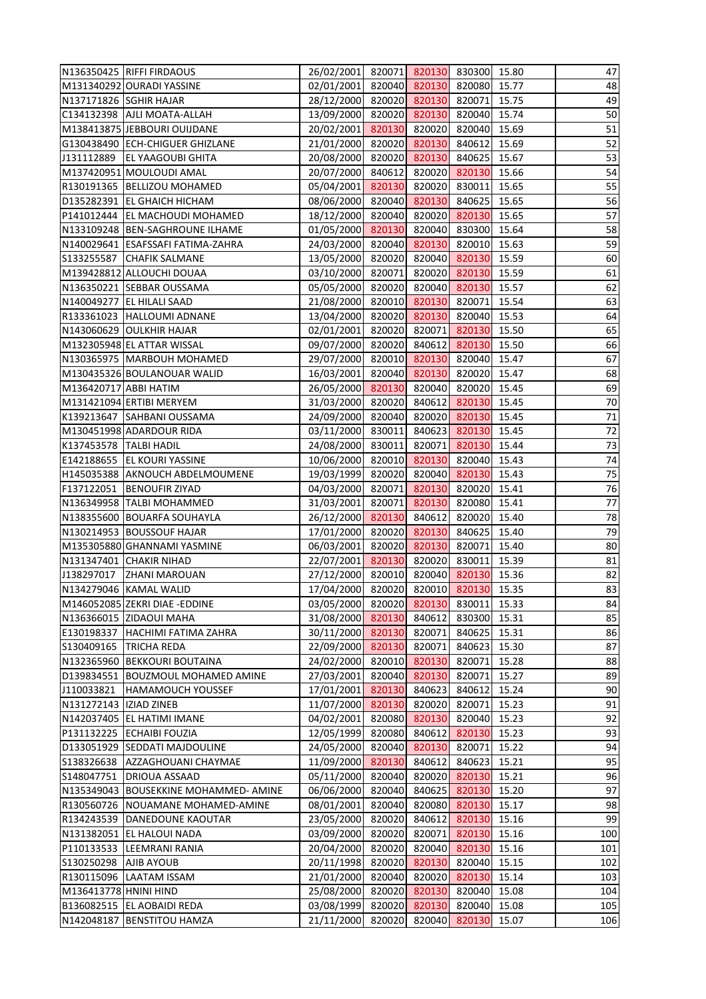|                          | N136350425 RIFFI FIRDAOUS             | 26/02/2001 820071 820130 830300 15.80               |        |               |                      |       | 47  |
|--------------------------|---------------------------------------|-----------------------------------------------------|--------|---------------|----------------------|-------|-----|
|                          | M131340292 OURADI YASSINE             | 02/01/2001 820040 820130 820080 15.77               |        |               |                      |       | 48  |
| N137171826 SGHIR HAJAR   |                                       | 28/12/2000                                          |        |               | 820020 820130 820071 | 15.75 | 49  |
|                          | C134132398   AJLI MOATA-ALLAH         | 13/09/2000                                          |        |               | 820020 820130 820040 | 15.74 | 50  |
|                          | M138413875 JEBBOURI OUIJDANE          | 20/02/2001 820130 820020 820040                     |        |               |                      | 15.69 | 51  |
|                          | G130438490 ECH-CHIGUER GHIZLANE       | 21/01/2000 820020 820130 840612                     |        |               |                      | 15.69 | 52  |
|                          | J131112889   EL YAAGOUBI GHITA        | 20/08/2000 820020 820130 840625                     |        |               |                      | 15.67 | 53  |
|                          | M137420951 MOULOUDI AMAL              | 20/07/2000                                          | 840612 |               | 820020 820130        | 15.66 | 54  |
|                          | R130191365   BELLIZOU MOHAMED         | 05/04/2001 820130                                   |        |               | 820020 830011        | 15.65 | 55  |
|                          | D135282391 EL GHAICH HICHAM           | 08/06/2000 820040 820130 840625                     |        |               |                      | 15.65 | 56  |
|                          | P141012444   EL MACHOUDI MOHAMED      | 18/12/2000 820040 820020 820130                     |        |               |                      | 15.65 | 57  |
|                          | N133109248   BEN-SAGHROUNE ILHAME     | 01/05/2000 820130 820040 830300                     |        |               |                      | 15.64 | 58  |
|                          | N140029641 ESAFSSAFI FATIMA-ZAHRA     | 24/03/2000                                          |        |               | 820040 820130 820010 | 15.63 | 59  |
|                          | S133255587 CHAFIK SALMANE             | 13/05/2000                                          |        |               | 820020 820040 820130 | 15.59 | 60  |
|                          | M139428812 ALLOUCHI DOUAA             | 03/10/2000 820071 820020 820130                     |        |               |                      | 15.59 | 61  |
|                          | N136350221 SEBBAR OUSSAMA             | 05/05/2000 820020 820040 820130                     |        |               |                      | 15.57 | 62  |
|                          | N140049277 EL HILALI SAAD             | 21/08/2000 820010 820130 820071                     |        |               |                      | 15.54 | 63  |
|                          | R133361023  HALLOUMI ADNANE           | 13/04/2000                                          |        |               | 820020 820130 820040 | 15.53 | 64  |
|                          | N143060629 OULKHIR HAJAR              | 02/01/2001                                          | 820020 |               | 820071 820130        | 15.50 | 65  |
|                          | M132305948 EL ATTAR WISSAL            | 09/07/2000 820020 840612 820130                     |        |               |                      | 15.50 | 66  |
|                          |                                       |                                                     |        |               |                      |       | 67  |
|                          | N130365975   MARBOUH MOHAMED          | 29/07/2000 820010 820130 820040                     |        |               |                      | 15.47 | 68  |
| M136420717 ABBI HATIM    | M130435326 BOULANOUAR WALID           | 16/03/2001 820040 820130 820020 15.47<br>26/05/2000 | 820130 |               | 820040 820020        | 15.45 | 69  |
|                          |                                       |                                                     |        |               |                      |       |     |
|                          | M131421094 ERTIBI MERYEM              | 31/03/2000                                          | 820020 | 840612        | 820130               | 15.45 | 70  |
|                          | K139213647 SAHBANI OUSSAMA            | 24/09/2000 820040 820020 820130                     |        |               |                      | 15.45 | 71  |
|                          | M130451998 ADARDOUR RIDA              | 03/11/2000                                          | 830011 |               | 840623 820130        | 15.45 | 72  |
| K137453578   TALBI HADIL |                                       | 24/08/2000 830011                                   |        |               | 820071 820130        | 15.44 | 73  |
|                          | E142188655   EL KOURI YASSINE         | 10/06/2000                                          | 820010 | 820130        | 820040               | 15.43 | 74  |
|                          | H145035388 AKNOUCH ABDELMOUMENE       | 19/03/1999                                          | 820020 |               | 820040 820130        | 15.43 | 75  |
|                          | F137122051   BENOUFIR ZIYAD           | 04/03/2000 820071                                   |        |               | 820130 820020        | 15.41 | 76  |
|                          | N136349958 TALBI MOHAMMED             | 31/03/2001 820071 820130 820080                     |        |               |                      | 15.41 | 77  |
|                          | N138355600 BOUARFA SOUHAYLA           | 26/12/2000 820130 840612 820020 15.40               |        |               |                      |       | 78  |
|                          | N130214953 BOUSSOUF HAJAR             | 17/01/2000 820020 820130                            |        |               | 840625               | 15.40 | 79  |
|                          | M135305880 GHANNAMI YASMINE           | 06/03/2001 820020 820130 820071                     |        |               |                      | 15.40 | 80  |
|                          | N131347401 CHAKIR NIHAD               | 22/07/2001                                          | 820130 |               | 820020 830011        | 15.39 | 81  |
|                          | J138297017 ZHANI MAROUAN              | 27/12/2000                                          | 820010 |               | 820040 820130        | 15.36 | 82  |
|                          | N134279046 KAMAL WALID                | 17/04/2000                                          | 820020 |               | 820010 820130        | 15.35 | 83  |
|                          | M146052085 ZEKRI DIAE - EDDINE        | 03/05/2000                                          | 820020 | 820130        | 830011               | 15.33 | 84  |
|                          | N136366015 ZIDAOUI MAHA               | 31/08/2000 820130                                   |        | 840612        | 830300               | 15.31 | 85  |
|                          | E130198337   HACHIMI FATIMA ZAHRA     | 30/11/2000                                          | 820130 | 820071        | 840625               | 15.31 | 86  |
|                          | S130409165   TRICHA REDA              | 22/09/2000                                          | 820130 | 820071        | 840623               | 15.30 | 87  |
|                          | N132365960 BEKKOURI BOUTAINA          | 24/02/2000                                          |        |               | 820010 820130 820071 | 15.28 | 88  |
|                          | D139834551   BOUZMOUL MOHAMED AMINE   | 27/03/2001                                          | 820040 | 820130        | 820071               | 15.27 | 89  |
|                          | J110033821 HAMAMOUCH YOUSSEF          | 17/01/2001                                          | 820130 | 840623        | 840612               | 15.24 | 90  |
| N131272143   IZIAD ZINEB |                                       | 11/07/2000                                          | 820130 | 820020        | 820071               | 15.23 | 91  |
|                          | N142037405 EL HATIMI IMANE            | 04/02/2001                                          | 820080 | 820130        | 820040               | 15.23 | 92  |
|                          | P131132225 ECHAIBI FOUZIA             | 12/05/1999                                          | 820080 |               | 840612 820130        | 15.23 | 93  |
|                          | D133051929 SEDDATI MAJDOULINE         | 24/05/2000                                          | 820040 | 820130        | 820071               | 15.22 | 94  |
|                          | S138326638   AZZAGHOUANI CHAYMAE      | 11/09/2000 820130                                   |        | 840612        | 840623               | 15.21 | 95  |
|                          | S148047751   DRIOUA ASSAAD            | 05/11/2000                                          | 820040 |               | 820020 820130        | 15.21 | 96  |
|                          | N135349043 BOUSEKKINE MOHAMMED- AMINE | 06/06/2000                                          | 820040 |               | 840625 820130        | 15.20 | 97  |
|                          | R130560726   NOUAMANE MOHAMED-AMINE   | 08/01/2001                                          | 820040 |               | 820080 820130        | 15.17 | 98  |
|                          | R134243539   DANEDOUNE KAOUTAR        | 23/05/2000                                          | 820020 | 840612        | 820130               | 15.16 | 99  |
|                          | N131382051 EL HALOUI NADA             | 03/09/2000                                          | 820020 | 820071        | 820130               | 15.16 | 100 |
|                          | P110133533  LEEMRANI RANIA            | 20/04/2000                                          | 820020 | 820040        | 820130               | 15.16 | 101 |
| S130250298 AJIB AYOUB    |                                       | 20/11/1998                                          | 820020 | 820130        | 820040               | 15.15 | 102 |
|                          | R130115096 LAATAM ISSAM               | 21/01/2000                                          | 820040 |               | 820020 820130        | 15.14 | 103 |
| M136413778 HNINI HIND    |                                       | 25/08/2000                                          | 820020 | 820130        | 820040               | 15.08 | 104 |
|                          | B136082515   EL AOBAIDI REDA          | 03/08/1999                                          |        | 820020 820130 | 820040               | 15.08 | 105 |
|                          |                                       |                                                     |        |               |                      |       |     |
|                          | N142048187   BENSTITOU HAMZA          | 21/11/2000                                          | 820020 |               | 820040 820130        | 15.07 | 106 |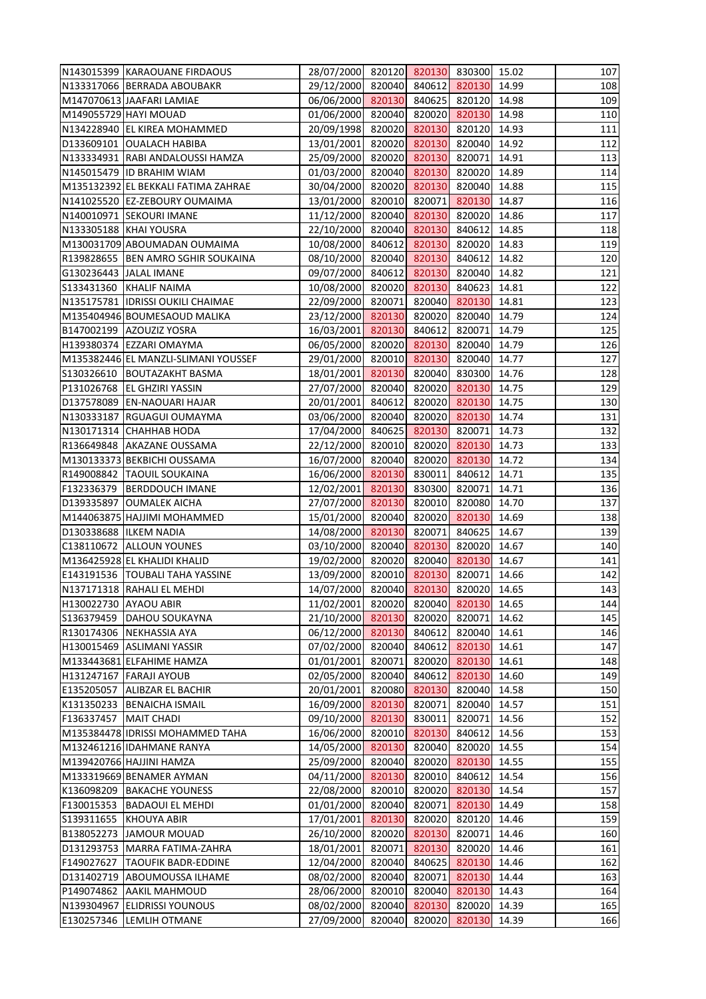|                         | N143015399 KARAOUANE FIRDAOUS        | 28/07/2000 820120 820130 830300 15.02 |        |        |                      |       | 107 |
|-------------------------|--------------------------------------|---------------------------------------|--------|--------|----------------------|-------|-----|
|                         | N133317066 BERRADA ABOUBAKR          | 29/12/2000 820040 840612 820130 14.99 |        |        |                      |       | 108 |
|                         | M147070613 JAAFARI LAMIAE            | 06/06/2000 820130 840625 820120 14.98 |        |        |                      |       | 109 |
|                         | M149055729 HAYI MOUAD                | 01/06/2000 820040 820020 820130       |        |        |                      | 14.98 | 110 |
|                         | N134228940 EL KIREA MOHAMMED         | 20/09/1998 820020 820130 820120       |        |        |                      | 14.93 | 111 |
|                         | D133609101 OUALACH HABIBA            | 13/01/2001                            |        |        | 820020 820130 820040 | 14.92 | 112 |
|                         | N133334931 RABI ANDALOUSSI HAMZA     | 25/09/2000 820020 820130 820071       |        |        |                      | 14.91 | 113 |
|                         | N145015479 ID BRAHIM WIAM            | 01/03/2000 820040 820130 820020       |        |        |                      | 14.89 | 114 |
|                         | M135132392 EL BEKKALI FATIMA ZAHRAE  | 30/04/2000 820020 820130 820040       |        |        |                      | 14.88 | 115 |
|                         | N141025520 EZ-ZEBOURY OUMAIMA        | 13/01/2000 820010 820071 820130       |        |        |                      | 14.87 | 116 |
|                         | N140010971 SEKOURI IMANE             | 11/12/2000 820040 820130 820020       |        |        |                      | 14.86 | 117 |
|                         | N133305188 KHAI YOUSRA               | 22/10/2000 820040 820130 840612       |        |        |                      | 14.85 | 118 |
|                         | M130031709 ABOUMADAN OUMAIMA         | 10/08/2000 840612 820130 820020       |        |        |                      | 14.83 | 119 |
|                         | R139828655   BEN AMRO SGHIR SOUKAINA | 08/10/2000 820040 820130 840612       |        |        |                      | 14.82 | 120 |
|                         | G130236443   JALAL IMANE             | 09/07/2000 840612 820130 820040       |        |        |                      | 14.82 | 121 |
|                         | S133431360 KHALIF NAIMA              | 10/08/2000 820020 820130 840623       |        |        |                      | 14.81 | 122 |
|                         | N135175781 IDRISSI OUKILI CHAIMAE    | 22/09/2000 820071 820040 820130       |        |        |                      | 14.81 | 123 |
|                         | M135404946 BOUMESAOUD MALIKA         | 23/12/2000 820130 820020 820040       |        |        |                      | 14.79 | 124 |
|                         | B147002199 AZOUZIZ YOSRA             | 16/03/2001 820130 840612 820071       |        |        |                      | 14.79 | 125 |
|                         | H139380374 EZZARI OMAYMA             | 06/05/2000 820020 820130 820040       |        |        |                      | 14.79 | 126 |
|                         |                                      | 29/01/2000 820010 820130 820040       |        |        |                      |       | 127 |
|                         | M135382446 EL MANZLI-SLIMANI YOUSSEF | 18/01/2001 820130 820040 830300       |        |        |                      | 14.77 | 128 |
|                         | S130326610 BOUTAZAKHT BASMA          |                                       |        |        |                      | 14.76 |     |
|                         | P131026768 EL GHZIRI YASSIN          | 27/07/2000 820040 820020 820130       |        |        |                      | 14.75 | 129 |
|                         | D137578089 EN-NAOUARI HAJAR          | 20/01/2001                            | 840612 |        | 820020 820130        | 14.75 | 130 |
|                         | N130333187 RGUAGUI OUMAYMA           | 03/06/2000 820040 820020 820130       |        |        |                      | 14.74 | 131 |
|                         | N130171314 CHAHHAB HODA              | 17/04/2000 840625 820130 820071       |        |        |                      | 14.73 | 132 |
|                         | R136649848 AKAZANE OUSSAMA           | 22/12/2000 820010 820020 820130       |        |        |                      | 14.73 | 133 |
|                         | M130133373 BEKBICHI OUSSAMA          | 16/07/2000                            | 820040 |        | 820020 820130        | 14.72 | 134 |
|                         | R149008842   TAOUIL SOUKAINA         | 16/06/2000 820130                     |        |        | 830011 840612        | 14.71 | 135 |
|                         | F132336379 BERDDOUCH IMANE           | 12/02/2001 820130 830300 820071       |        |        |                      | 14.71 | 136 |
|                         | D139335897 OUMALEK AICHA             | 27/07/2000 820130 820010 820080       |        |        |                      | 14.70 | 137 |
|                         | M144063875 HAJJIMI MOHAMMED          | 15/01/2000 820040 820020 820130 14.69 |        |        |                      |       | 138 |
|                         | D130338688  ILKEM NADIA              | 14/08/2000 820130                     |        | 820071 | 840625               | 14.67 | 139 |
|                         | C138110672 ALLOUN YOUNES             | 03/10/2000                            |        |        | 820040 820130 820020 | 14.67 | 140 |
|                         | M136425928 EL KHALIDI KHALID         | 19/02/2000                            |        |        | 820020 820040 820130 | 14.67 | 141 |
|                         | E143191536   TOUBALI TAHA YASSINE    | 13/09/2000                            | 820010 | 820130 | 820071               | 14.66 | 142 |
|                         | N137171318 RAHALI EL MEHDI           | 14/07/2000                            | 820040 | 820130 | 820020               | 14.65 | 143 |
| H130022730 AYAOU ABIR   |                                      | 11/02/2001                            | 820020 |        | 820040 820130        | 14.65 | 144 |
|                         | S136379459   DAHOU SOUKAYNA          | 21/10/2000                            | 820130 | 820020 | 820071               | 14.62 | 145 |
|                         | R130174306 NEKHASSIA AYA             | 06/12/2000                            | 820130 | 840612 | 820040               | 14.61 | 146 |
|                         | H130015469 ASLIMANI YASSIR           | 07/02/2000                            | 820040 | 840612 | 820130               | 14.61 | 147 |
|                         | M133443681 ELFAHIME HAMZA            | 01/01/2001                            | 820071 |        | 820020 820130        | 14.61 | 148 |
|                         | H131247167 FARAJI AYOUB              | 02/05/2000                            | 820040 | 840612 | 820130               | 14.60 | 149 |
|                         | E135205057   ALIBZAR EL BACHIR       | 20/01/2001                            | 820080 | 820130 | 820040               | 14.58 | 150 |
|                         | K131350233   BENAICHA ISMAIL         | 16/09/2000                            | 820130 | 820071 | 820040               | 14.57 | 151 |
| F136337457   MAIT CHADI |                                      | 09/10/2000                            | 820130 | 830011 | 820071               | 14.56 | 152 |
|                         | M135384478 IDRISSI MOHAMMED TAHA     | 16/06/2000                            | 820010 | 820130 | 840612               | 14.56 | 153 |
|                         | M132461216 IDAHMANE RANYA            | 14/05/2000                            | 820130 | 820040 | 820020               | 14.55 | 154 |
|                         | M139420766 HAJJINI HAMZA             | 25/09/2000                            | 820040 |        | 820020 820130        | 14.55 | 155 |
|                         | M133319669 BENAMER AYMAN             | 04/11/2000                            | 820130 |        | 820010 840612        | 14.54 | 156 |
|                         | K136098209 BAKACHE YOUNESS           | 22/08/2000                            | 820010 |        | 820020 820130        | 14.54 | 157 |
|                         |                                      |                                       |        |        |                      | 14.49 |     |
|                         | F130015353   BADAOUI EL MEHDI        | 01/01/2000                            | 820040 | 820071 | 820130               |       | 158 |
|                         | S139311655 KHOUYA ABIR               | 17/01/2001                            | 820130 | 820020 | 820120               | 14.46 | 159 |
|                         | B138052273 JAMOUR MOUAD              | 26/10/2000                            | 820020 | 820130 | 820071               | 14.46 | 160 |
|                         | D131293753   MARRA FATIMA-ZAHRA      | 18/01/2001                            | 820071 | 820130 | 820020               | 14.46 | 161 |
| F149027627              | <b>TAOUFIK BADR-EDDINE</b>           | 12/04/2000                            | 820040 | 840625 | 820130               | 14.46 | 162 |
|                         | D131402719 ABOUMOUSSA ILHAME         | 08/02/2000                            | 820040 | 820071 | 820130               | 14.44 | 163 |
|                         | P149074862 AAKIL MAHMOUD             | 28/06/2000                            | 820010 | 820040 | 820130               | 14.43 | 164 |
|                         | N139304967 ELIDRISSI YOUNOUS         | 08/02/2000                            | 820040 | 820130 | 820020               | 14.39 | 165 |
|                         | E130257346 LEMLIH OTMANE             | 27/09/2000                            | 820040 | 820020 | 820130               | 14.39 | 166 |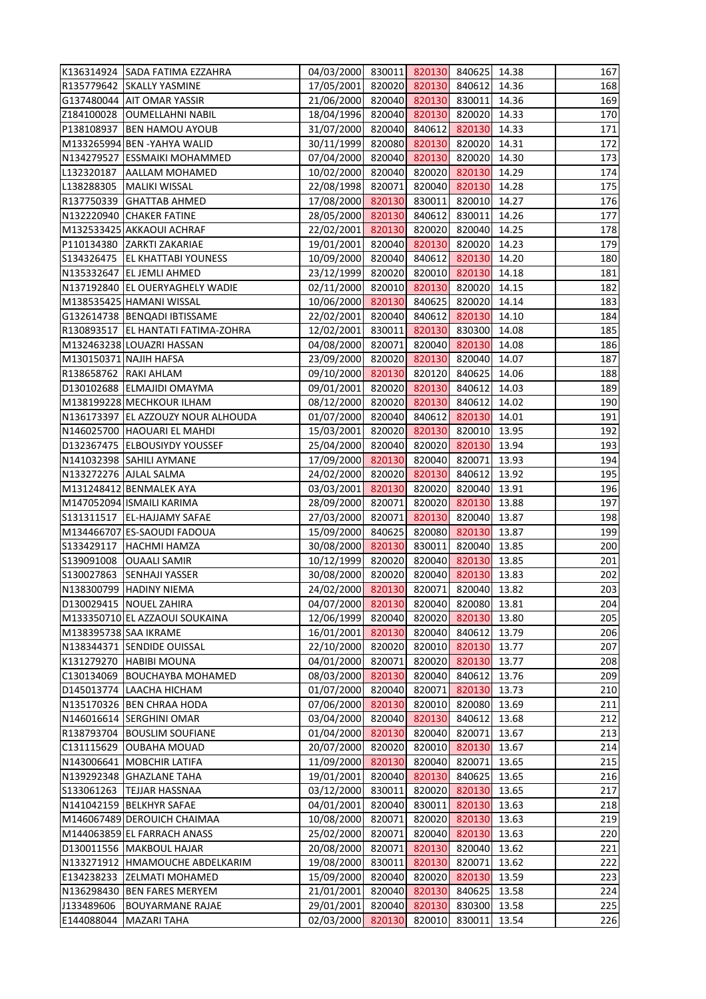|                        | K136314924 SADA FATIMA EZZAHRA       | 04/03/2000 830011 820130 840625 14.38 |        |                      |               |       | 167 |
|------------------------|--------------------------------------|---------------------------------------|--------|----------------------|---------------|-------|-----|
|                        | R135779642 SKALLY YASMINE            | 17/05/2001 820020 820130 840612       |        |                      |               | 14.36 | 168 |
|                        | G137480044 AIT OMAR YASSIR           | 21/06/2000 820040 820130 830011       |        |                      |               | 14.36 | 169 |
|                        | Z184100028   OUMELLAHNI NABIL        | 18/04/1996 820040 820130 820020       |        |                      |               | 14.33 | 170 |
|                        | P138108937   BEN HAMOU AYOUB         | 31/07/2000 820040 840612 820130       |        |                      |               | 14.33 | 171 |
|                        | M133265994 BEN - YAHYA WALID         | 30/11/1999                            |        | 820080 820130 820020 |               | 14.31 | 172 |
|                        | N134279527 ESSMAIKI MOHAMMED         | 07/04/2000 820040 820130 820020       |        |                      |               | 14.30 | 173 |
|                        | L132320187   AALLAM MOHAMED          | 10/02/2000 820040 820020 820130       |        |                      |               | 14.29 | 174 |
|                        | L138288305   MALIKI WISSAL           | 22/08/1998 820071                     |        |                      | 820040 820130 | 14.28 | 175 |
|                        | R137750339 GHATTAB AHMED             | 17/08/2000 820130 830011 820010       |        |                      |               | 14.27 | 176 |
|                        | N132220940 CHAKER FATINE             | 28/05/2000 820130 840612 830011       |        |                      |               | 14.26 | 177 |
|                        | M132533425 AKKAOUI ACHRAF            | 22/02/2001 820130 820020 820040       |        |                      |               | 14.25 | 178 |
|                        | P110134380 ZARKTI ZAKARIAE           | 19/01/2001 820040 820130 820020       |        |                      |               | 14.23 | 179 |
|                        | S134326475   EL KHATTABI YOUNESS     | 10/09/2000                            |        | 820040 840612 820130 |               | 14.20 | 180 |
|                        | N135332647 EL JEMLI AHMED            | 23/12/1999 820020 820010 820130       |        |                      |               | 14.18 | 181 |
|                        | N137192840 EL OUERYAGHELY WADIE      | 02/11/2000 820010 820130 820020       |        |                      |               | 14.15 | 182 |
|                        | M138535425 HAMANI WISSAL             | 10/06/2000 820130 840625 820020 14.14 |        |                      |               |       | 183 |
|                        | G132614738   BENQADI IBTISSAME       | 22/02/2001                            |        | 820040 840612 820130 |               | 14.10 | 184 |
|                        | R130893517   EL HANTATI FATIMA-ZOHRA | 12/02/2001 830011 820130 830300       |        |                      |               | 14.08 | 185 |
|                        | M132463238 LOUAZRI HASSAN            | 04/08/2000 820071 820040 820130       |        |                      |               | 14.08 | 186 |
| M130150371 NAJIH HAFSA |                                      | 23/09/2000 820020 820130 820040       |        |                      |               | 14.07 | 187 |
| R138658762 RAKI AHLAM  |                                      | 09/10/2000 820130 820120 840625       |        |                      |               | 14.06 | 188 |
|                        | D130102688 ELMAJIDI OMAYMA           |                                       |        | 820020 820130 840612 |               | 14.03 | 189 |
|                        |                                      | 09/01/2001                            |        |                      |               |       |     |
|                        | M138199228 MECHKOUR ILHAM            | 08/12/2000 820020 820130 840612       |        |                      |               | 14.02 | 190 |
|                        | N136173397 EL AZZOUZY NOUR ALHOUDA   | 01/07/2000 820040 840612 820130       |        |                      |               | 14.01 | 191 |
|                        | N146025700 HAOUARI EL MAHDI          | 15/03/2001                            |        | 820020 820130 820010 |               | 13.95 | 192 |
|                        | D132367475 ELBOUSIYDY YOUSSEF        | 25/04/2000 820040 820020 820130       |        |                      |               | 13.94 | 193 |
|                        | N141032398 SAHILI AYMANE             | 17/09/2000                            | 820130 |                      | 820040 820071 | 13.93 | 194 |
| N133272276 AJLAL SALMA |                                      | 24/02/2000 820020 820130 840612       |        |                      |               | 13.92 | 195 |
|                        | M131248412 BENMALEK AYA              | 03/03/2001 820130 820020 820040       |        |                      |               | 13.91 | 196 |
|                        | M147052094 ISMAILI KARIMA            | 28/09/2000 820071 820020 820130       |        |                      |               | 13.88 | 197 |
|                        | S131311517   EL-HAJJAMY SAFAE        | 27/03/2000 820071 820130 820040 13.87 |        |                      |               |       | 198 |
|                        | M134466707 ES-SAOUDI FADOUA          | 15/09/2000                            | 840625 |                      | 820080 820130 | 13.87 | 199 |
|                        | S133429117   HACHMI HAMZA            | 30/08/2000                            | 820130 | 830011               | 820040        | 13.85 | 200 |
|                        | S139091008   OUAALI SAMIR            | 10/12/1999                            | 820020 |                      | 820040 820130 | 13.85 | 201 |
|                        | S130027863 SENHAJI YASSER            | 30/08/2000                            | 820020 | 820040               | 820130        | 13.83 | 202 |
|                        | N138300799 HADINY NIEMA              | 24/02/2000 820130                     |        | 820071               | 820040        | 13.82 | 203 |
|                        | D130029415   NOUEL ZAHIRA            | 04/07/2000                            | 820130 |                      | 820040 820080 | 13.81 | 204 |
|                        | M133350710 EL AZZAOUI SOUKAINA       | 12/06/1999                            | 820040 |                      | 820020 820130 | 13.80 | 205 |
| M138395738 SAA IKRAME  |                                      | 16/01/2001                            | 820130 |                      | 820040 840612 | 13.79 | 206 |
|                        | N138344371 SENDIDE OUISSAL           | 22/10/2000                            | 820020 |                      | 820010 820130 | 13.77 | 207 |
|                        | K131279270 HABIBI MOUNA              | 04/01/2000                            | 820071 |                      | 820020 820130 | 13.77 | 208 |
|                        | C130134069 BOUCHAYBA MOHAMED         | 08/03/2000                            | 820130 | 820040               | 840612        | 13.76 | 209 |
|                        | D145013774 LAACHA HICHAM             | 01/07/2000                            | 820040 |                      | 820071 820130 | 13.73 | 210 |
|                        | N135170326 BEN CHRAA HODA            | 07/06/2000                            | 820130 |                      | 820010 820080 | 13.69 | 211 |
|                        | N146016614 SERGHINI OMAR             | 03/04/2000                            | 820040 | 820130               | 840612        | 13.68 | 212 |
|                        | R138793704   BOUSLIM SOUFIANE        | 01/04/2000 820130                     |        | 820040               | 820071        | 13.67 | 213 |
|                        | C131115629 OUBAHA MOUAD              | 20/07/2000                            | 820020 |                      | 820010 820130 | 13.67 | 214 |
|                        | N143006641 MOBCHIR LATIFA            | 11/09/2000 820130                     |        |                      | 820040 820071 | 13.65 | 215 |
|                        | N139292348 GHAZLANE TAHA             | 19/01/2001                            | 820040 | 820130               | 840625        | 13.65 | 216 |
|                        | S133061263   TEJJAR HASSNAA          | 03/12/2000                            | 830011 |                      | 820020 820130 | 13.65 | 217 |
|                        | N141042159 BELKHYR SAFAE             | 04/01/2001                            | 820040 |                      | 830011 820130 | 13.63 | 218 |
|                        | M146067489 DEROUICH CHAIMAA          | 10/08/2000                            | 820071 | 820020               | 820130        | 13.63 | 219 |
|                        | M144063859 EL FARRACH ANASS          | 25/02/2000                            | 820071 |                      | 820040 820130 | 13.63 | 220 |
|                        | D130011556   MAKBOUL HAJAR           | 20/08/2000                            | 820071 | 820130               | 820040        | 13.62 | 221 |
|                        | N133271912  HMAMOUCHE ABDELKARIM     | 19/08/2000                            | 830011 | 820130               | 820071        | 13.62 | 222 |
|                        | E134238233 ZELMATI MOHAMED           |                                       | 820040 |                      | 820020 820130 | 13.59 | 223 |
|                        |                                      | 15/09/2000                            |        |                      |               |       |     |
|                        | N136298430 BEN FARES MERYEM          | 21/01/2001                            | 820040 | 820130               | 840625        | 13.58 | 224 |
| J133489606             | <b>BOUYARMANE RAJAE</b>              | 29/01/2001                            | 820040 | 820130               | 830300        | 13.58 | 225 |
|                        | E144088044 MAZARI TAHA               | 02/03/2000                            | 820130 | 820010               | 830011        | 13.54 | 226 |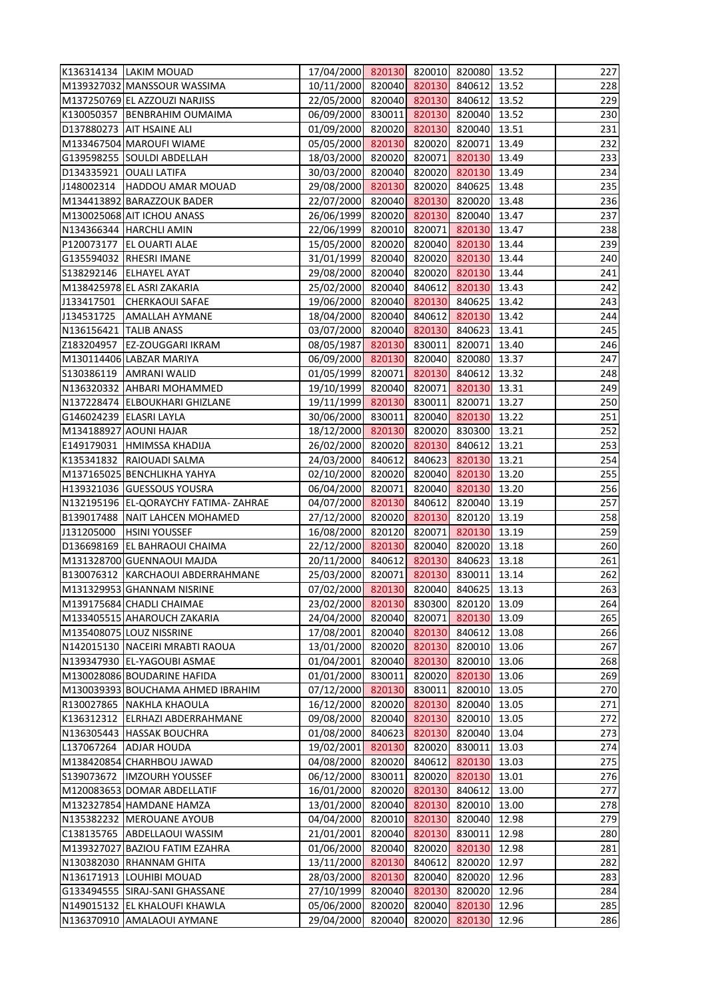| K136314134   LAKIM MOUAD             | 17/04/2000 820130 820010 820080 13.52 |        |                      |               |       | 227 |
|--------------------------------------|---------------------------------------|--------|----------------------|---------------|-------|-----|
| M139327032 MANSSOUR WASSIMA          | 10/11/2000 820040 820130 840612       |        |                      |               | 13.52 | 228 |
| M137250769 EL AZZOUZI NARJISS        | 22/05/2000 820040 820130 840612       |        |                      |               | 13.52 | 229 |
| K130050357 BENBRAHIM OUMAIMA         | 06/09/2000 830011 820130 820040       |        |                      |               | 13.52 | 230 |
| D137880273 AIT HSAINE ALI            | 01/09/2000 820020 820130 820040       |        |                      |               | 13.51 | 231 |
| M133467504 MAROUFI WIAME             | 05/05/2000 820130                     |        |                      | 820020 820071 | 13.49 | 232 |
| G139598255 SOULDI ABDELLAH           | 18/03/2000 820020 820071 820130       |        |                      |               | 13.49 | 233 |
| D134335921 OUALI LATIFA              | 30/03/2000 820040 820020 820130       |        |                      |               | 13.49 | 234 |
| J148002314 HADDOU AMAR MOUAD         | 29/08/2000 820130                     |        |                      | 820020 840625 | 13.48 | 235 |
| M134413892 BARAZZOUK BADER           | 22/07/2000 820040 820130 820020       |        |                      |               | 13.48 | 236 |
| M130025068 AIT ICHOU ANASS           | 26/06/1999 820020 820130 820040       |        |                      |               | 13.47 | 237 |
| N134366344 HARCHLI AMIN              | 22/06/1999 820010 820071 820130 13.47 |        |                      |               |       | 238 |
| P120073177   EL OUARTI ALAE          | 15/05/2000                            |        | 820020 820040 820130 |               | 13.44 | 239 |
| G135594032 RHESRI IMANE              | 31/01/1999                            |        | 820040 820020 820130 |               | 13.44 | 240 |
| S138292146 ELHAYEL AYAT              | 29/08/2000 820040 820020 820130 13.44 |        |                      |               |       | 241 |
|                                      |                                       |        |                      |               | 13.43 | 242 |
| M138425978 EL ASRI ZAKARIA           | 25/02/2000 820040 840612 820130       |        |                      |               |       |     |
| J133417501 CHERKAOUI SAFAE           | 19/06/2000 820040 820130 840625       |        |                      |               | 13.42 | 243 |
| J134531725   AMALLAH AYMANE          | 18/04/2000                            |        | 820040 840612 820130 |               | 13.42 | 244 |
| N136156421   TALIB ANASS             | 03/07/2000 820040 820130 840623       |        |                      |               | 13.41 | 245 |
| Z183204957   EZ-ZOUGGARI IKRAM       | 08/05/1987 820130 830011 820071       |        |                      |               | 13.40 | 246 |
| M130114406 LABZAR MARIYA             | 06/09/2000 820130 820040 820080       |        |                      |               | 13.37 | 247 |
| S130386119   AMRANI WALID            | 01/05/1999 820071 820130 840612       |        |                      |               | 13.32 | 248 |
| N136320332 AHBARI MOHAMMED           | 19/10/1999                            |        | 820040 820071 820130 |               | 13.31 | 249 |
| N137228474 ELBOUKHARI GHIZLANE       | 19/11/1999 820130                     |        |                      | 830011 820071 | 13.27 | 250 |
| G146024239 ELASRI LAYLA              | 30/06/2000 830011 820040 820130       |        |                      |               | 13.22 | 251 |
| M134188927 AOUNI HAJAR               | 18/12/2000 820130                     |        |                      | 820020 830300 | 13.21 | 252 |
| E149179031  HMIMSSA KHADIJA          | 26/02/2000 820020 820130 840612       |        |                      |               | 13.21 | 253 |
| K135341832 RAIOUADI SALMA            | 24/03/2000                            | 840612 |                      | 840623 820130 | 13.21 | 254 |
| M137165025 BENCHLIKHA YAHYA          | 02/10/2000 820020                     |        |                      | 820040 820130 | 13.20 | 255 |
| H139321036 GUESSOUS YOUSRA           | 06/04/2000 820071                     |        |                      | 820040 820130 | 13.20 | 256 |
| N132195196 EL-QORAYCHY FATIMA-ZAHRAE | 04/07/2000 820130 840612 820040 13.19 |        |                      |               |       | 257 |
| B139017488   NAIT LAHCEN MOHAMED     | 27/12/2000 820020 820130 820120 13.19 |        |                      |               |       | 258 |
| J131205000   HSINI YOUSSEF           | 16/08/2000                            | 820120 | 820071               | 820130        | 13.19 | 259 |
| D136698169 EL BAHRAOUI CHAIMA        | 22/12/2000                            | 820130 |                      | 820040 820020 | 13.18 | 260 |
| M131328700 GUENNAOUI MAJDA           | 20/11/2000                            | 840612 | 820130               | 840623        | 13.18 | 261 |
| B130076312 KARCHAOUI ABDERRAHMANE    | 25/03/2000                            | 820071 | 820130               | 830011        | 13.14 | 262 |
| M131329953 GHANNAM NISRINE           | 07/02/2000 820130                     |        | 820040               | 840625        | 13.13 | 263 |
| M139175684 CHADLI CHAIMAE            | 23/02/2000                            | 820130 | 830300               | 820120        | 13.09 | 264 |
| M133405515 AHAROUCH ZAKARIA          | 24/04/2000                            | 820040 | 820071               | 820130        | 13.09 | 265 |
| M135408075 LOUZ NISSRINE             | 17/08/2001                            | 820040 | 820130               | 840612        | 13.08 | 266 |
| N142015130 NACEIRI MRABTI RAOUA      | 13/01/2000                            | 820020 | 820130               | 820010        | 13.06 | 267 |
|                                      |                                       |        |                      |               |       |     |
| N139347930 EL-YAGOUBI ASMAE          | 01/04/2001                            |        | 820040 820130        | 820010        | 13.06 | 268 |
| M130028086 BOUDARINE HAFIDA          | 01/01/2000                            | 830011 | 820020               | 820130        | 13.06 | 269 |
| M130039393 BOUCHAMA AHMED IBRAHIM    | 07/12/2000 820130                     |        | 830011               | 820010        | 13.05 | 270 |
| R130027865 NAKHLA KHAOULA            | 16/12/2000                            |        | 820020 820130        | 820040        | 13.05 | 271 |
| K136312312 ELRHAZI ABDERRAHMANE      | 09/08/2000                            | 820040 | 820130               | 820010        | 13.05 | 272 |
| N136305443 HASSAK BOUCHRA            | 01/08/2000                            | 840623 | 820130               | 820040        | 13.04 | 273 |
| L137067264 ADJAR HOUDA               | 19/02/2001                            | 820130 | 820020               | 830011        | 13.03 | 274 |
| M138420854 CHARHBOU JAWAD            | 04/08/2000                            | 820020 |                      | 840612 820130 | 13.03 | 275 |
| S139073672  IMZOURH YOUSSEF          | 06/12/2000                            | 830011 | 820020               | 820130        | 13.01 | 276 |
| M120083653 DOMAR ABDELLATIF          | 16/01/2000                            | 820020 | 820130               | 840612        | 13.00 | 277 |
| M132327854 HAMDANE HAMZA             | 13/01/2000                            |        | 820040 820130 820010 |               | 13.00 | 278 |
| N135382232   MEROUANE AYOUB          | 04/04/2000                            | 820010 | 820130               | 820040        | 12.98 | 279 |
| C138135765 ABDELLAOUI WASSIM         | 21/01/2001                            |        | 820040 820130        | 830011        | 12.98 | 280 |
| M139327027 BAZIOU FATIM EZAHRA       | 01/06/2000                            | 820040 | 820020               | 820130        | 12.98 | 281 |
| N130382030 RHANNAM GHITA             | 13/11/2000                            | 820130 | 840612               | 820020        | 12.97 | 282 |
| N136171913 LOUHIBI MOUAD             | 28/03/2000                            | 820130 |                      | 820040 820020 | 12.96 | 283 |
| G133494555 SIRAJ-SANI GHASSANE       | 27/10/1999                            | 820040 | 820130               | 820020        | 12.96 | 284 |
| N149015132 EL KHALOUFI KHAWLA        | 05/06/2000                            | 820020 |                      | 820040 820130 | 12.96 | 285 |
|                                      |                                       |        |                      |               |       |     |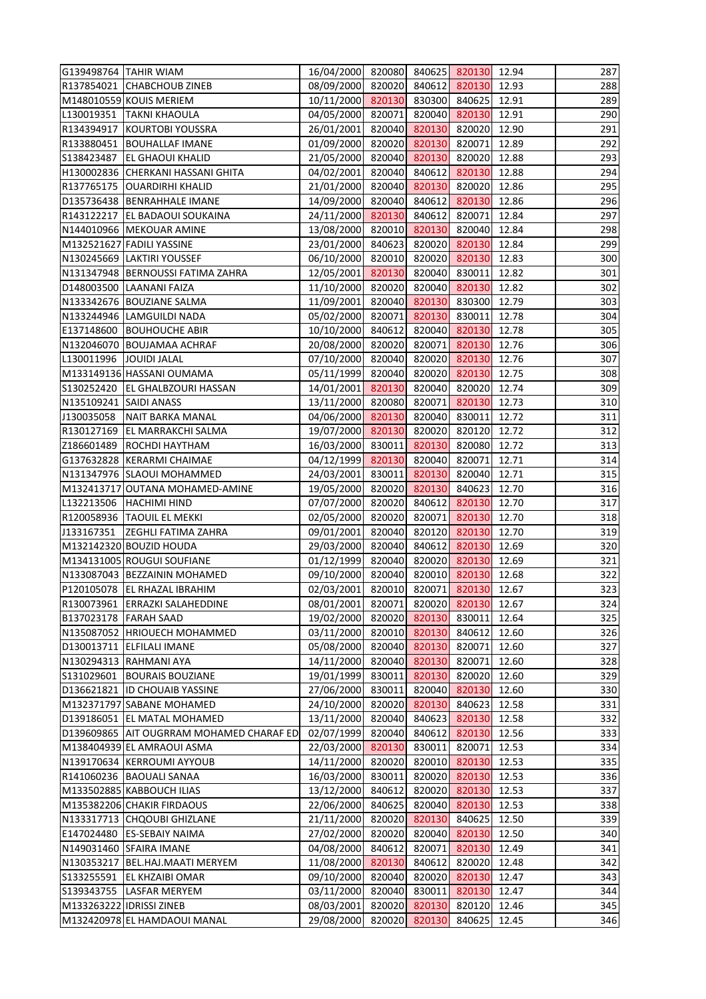| G139498764 TAHIR WIAM    |                                            | 16/04/2000 820080 840625 820130 12.94 |        |               |                      |       | 287 |
|--------------------------|--------------------------------------------|---------------------------------------|--------|---------------|----------------------|-------|-----|
|                          | R137854021 CHABCHOUB ZINEB                 | 08/09/2000 820020 840612 820130 12.93 |        |               |                      |       | 288 |
|                          | M148010559 KOUIS MERIEM                    | 10/11/2000 820130 830300 840625       |        |               |                      | 12.91 | 289 |
|                          | L130019351   TAKNI KHAOULA                 | 04/05/2000 820071                     |        |               | 820040 820130        | 12.91 | 290 |
|                          | R134394917 KOURTOBI YOUSSRA                | 26/01/2001 820040 820130 820020       |        |               |                      | 12.90 | 291 |
|                          | R133880451   BOUHALLAF IMANE               | 01/09/2000 820020 820130 820071       |        |               |                      | 12.89 | 292 |
|                          | S138423487   EL GHAOUI KHALID              | 21/05/2000 820040 820130 820020 12.88 |        |               |                      |       | 293 |
|                          | H130002836 CHERKANI HASSANI GHITA          | 04/02/2001                            |        |               | 820040 840612 820130 | 12.88 | 294 |
|                          | R137765175   OUARDIRHI KHALID              | 21/01/2000 820040 820130 820020       |        |               |                      | 12.86 | 295 |
|                          | D135736438   BENRAHHALE IMANE              | 14/09/2000 820040 840612 820130       |        |               |                      | 12.86 | 296 |
|                          | R143122217   EL BADAOUI SOUKAINA           | 24/11/2000 820130 840612 820071       |        |               |                      | 12.84 | 297 |
|                          | N144010966   MEKOUAR AMINE                 | 13/08/2000 820010 820130 820040       |        |               |                      | 12.84 | 298 |
|                          | M132521627 FADILI YASSINE                  | 23/01/2000                            | 840623 |               | 820020 820130        | 12.84 | 299 |
|                          | N130245669 LAKTIRI YOUSSEF                 | 06/10/2000                            | 820010 |               | 820020 820130        | 12.83 | 300 |
|                          | N131347948   BERNOUSSI FATIMA ZAHRA        | 12/05/2001 820130 820040 830011       |        |               |                      | 12.82 | 301 |
|                          | D148003500 LAANANI FAIZA                   | 11/10/2000 820020 820040 820130       |        |               |                      | 12.82 | 302 |
|                          | N133342676 BOUZIANE SALMA                  | 11/09/2001 820040 820130 830300       |        |               |                      | 12.79 | 303 |
|                          | N133244946 LAMGUILDI NADA                  | 05/02/2000                            | 820071 |               | 820130 830011        | 12.78 | 304 |
|                          | E137148600 BOUHOUCHE ABIR                  | 10/10/2000                            | 840612 |               | 820040 820130        | 12.78 | 305 |
|                          | N132046070 BOUJAMAA ACHRAF                 | 20/08/2000 820020 820071 820130       |        |               |                      | 12.76 | 306 |
| L130011996 JOUIDI JALAL  |                                            | 07/10/2000 820040 820020 820130       |        |               |                      | 12.76 | 307 |
|                          | M133149136 HASSANI OUMAMA                  | 05/11/1999 820040 820020 820130       |        |               |                      | 12.75 | 308 |
|                          | S130252420 EL GHALBZOURI HASSAN            | 14/01/2001                            | 820130 |               | 820040 820020        | 12.74 | 309 |
| N135109241 SAIDI ANASS   |                                            | 13/11/2000 820080                     |        |               | 820071 820130        | 12.73 | 310 |
|                          | J130035058 NAIT BARKA MANAL                | 04/06/2000 820130                     |        |               | 820040 830011        | 12.72 | 311 |
|                          | R130127169 EL MARRAKCHI SALMA              | 19/07/2000 820130                     |        |               | 820020 820120        | 12.72 | 312 |
|                          | Z186601489 ROCHDI HAYTHAM                  | 16/03/2000 830011                     |        |               | 820130 820080        | 12.72 | 313 |
|                          | G137632828 KERARMI CHAIMAE                 | 04/12/1999                            | 820130 |               | 820040 820071        | 12.71 | 314 |
|                          | N131347976 SLAOUI MOHAMMED                 | 24/03/2001                            |        |               | 830011 820130 820040 | 12.71 | 315 |
|                          | M132413717 OUTANA MOHAMED-AMINE            | 19/05/2000 820020 820130 840623       |        |               |                      | 12.70 | 316 |
|                          | L132213506   HACHIMI HIND                  | 07/07/2000 820020 840612 820130       |        |               |                      | 12.70 | 317 |
|                          | R120058936   TAOUIL EL MEKKI               | 02/05/2000 820020 820071 820130 12.70 |        |               |                      |       | 318 |
|                          | J133167351 ZEGHLI FATIMA ZAHRA             | 09/01/2001                            | 820040 |               | 820120 820130        | 12.70 | 319 |
|                          | M132142320 BOUZID HOUDA                    | 29/03/2000 820040 840612 820130       |        |               |                      | 12.69 | 320 |
|                          | M134131005 ROUGUI SOUFIANE                 | 01/12/1999                            |        |               | 820040 820020 820130 | 12.69 | 321 |
|                          | N133087043 BEZZAININ MOHAMED               | 09/10/2000                            | 820040 |               | 820010 820130        | 12.68 | 322 |
|                          | P120105078 EL RHAZAL IBRAHIM               | 02/03/2001                            | 820010 | 820071        | 820130               | 12.67 | 323 |
|                          | R130073961 ERRAZKI SALAHEDDINE             | 08/01/2001                            | 820071 |               | 820020 820130        | 12.67 | 324 |
| B137023178   FARAH SAAD  |                                            | 19/02/2000                            |        |               | 820020 820130 830011 | 12.64 | 325 |
|                          | N135087052 HRIOUECH MOHAMMED               | 03/11/2000                            | 820010 | 820130        | 840612               | 12.60 | 326 |
|                          | D130013711 ELFILALI IMANE                  | 05/08/2000                            |        | 820040 820130 | 820071               | 12.60 | 327 |
|                          | N130294313 RAHMANI AYA                     | 14/11/2000                            |        |               | 820040 820130 820071 | 12.60 | 328 |
|                          | S131029601   BOURAIS BOUZIANE              | 19/01/1999                            | 830011 | 820130        | 820020               | 12.60 | 329 |
|                          | D136621821  ID CHOUAIB YASSINE             | 27/06/2000                            | 830011 |               | 820040 820130        | 12.60 | 330 |
|                          | M132371797 SABANE MOHAMED                  | 24/10/2000                            | 820020 | 820130        | 840623               | 12.58 | 331 |
|                          | D139186051 EL MATAL MOHAMED                | 13/11/2000                            | 820040 |               | 840623 820130        | 12.58 | 332 |
|                          | D139609865   AIT OUGRRAM MOHAMED CHARAF ED | 02/07/1999                            | 820040 |               | 840612 820130        | 12.56 | 333 |
|                          | M138404939 EL AMRAOUI ASMA                 | 22/03/2000                            | 820130 | 830011        | 820071               | 12.53 | 334 |
|                          | N139170634 KERROUMI AYYOUB                 | 14/11/2000                            | 820020 |               | 820010 820130        | 12.53 | 335 |
|                          | R141060236   BAOUALI SANAA                 | 16/03/2000                            | 830011 |               | 820020 820130        | 12.53 | 336 |
|                          | M133502885 KABBOUCH ILIAS                  | 13/12/2000                            | 840612 |               | 820020 820130        | 12.53 | 337 |
|                          | M135382206 CHAKIR FIRDAOUS                 | 22/06/2000                            | 840625 |               | 820040 820130        | 12.53 | 338 |
|                          | N133317713 CHQOUBI GHIZLANE                | 21/11/2000                            | 820020 | 820130        | 840625               | 12.50 | 339 |
|                          | E147024480 ES-SEBAIY NAIMA                 | 27/02/2000                            | 820020 |               | 820040 820130        | 12.50 | 340 |
|                          | N149031460 SFAIRA IMANE                    | 04/08/2000                            | 840612 | 820071        | 820130               | 12.49 | 341 |
|                          | N130353217   BEL.HAJ.MAATI MERYEM          | 11/08/2000                            | 820130 | 840612        | 820020               | 12.48 | 342 |
|                          | S133255591 EL KHZAIBI OMAR                 | 09/10/2000                            | 820040 |               | 820020 820130        | 12.47 | 343 |
|                          | S139343755   LASFAR MERYEM                 | 03/11/2000                            | 820040 | 830011        | 820130               | 12.47 | 344 |
| M133263222 IDRISSI ZINEB |                                            | 08/03/2001                            |        | 820020 820130 | 820120               | 12.46 | 345 |
|                          | M132420978 EL HAMDAOUI MANAL               | 29/08/2000                            |        | 820020 820130 | 840625               | 12.45 | 346 |
|                          |                                            |                                       |        |               |                      |       |     |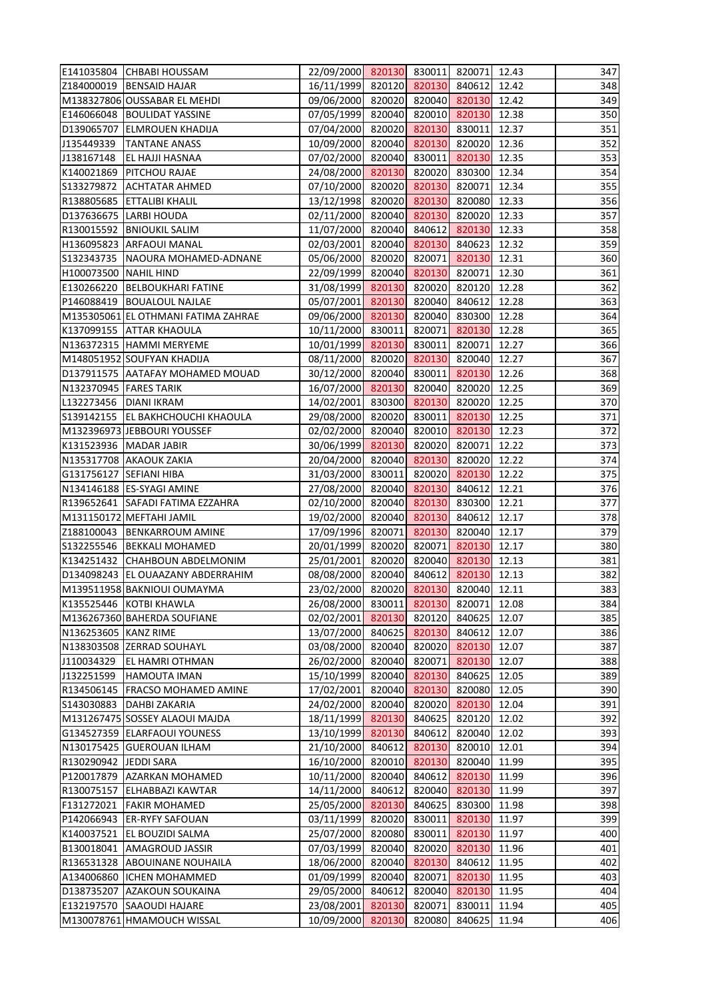|                          | E141035804 CHBABI HOUSSAM           | 22/09/2000 820130 830011 820071 12.43 |        |                      |               |       | 347 |
|--------------------------|-------------------------------------|---------------------------------------|--------|----------------------|---------------|-------|-----|
|                          | Z184000019   BENSAID HAJAR          | 16/11/1999 820120 820130 840612       |        |                      |               | 12.42 | 348 |
|                          | M138327806 OUSSABAR EL MEHDI        | 09/06/2000 820020 820040 820130 12.42 |        |                      |               |       | 349 |
|                          | E146066048   BOULIDAT YASSINE       | 07/05/1999 820040 820010 820130       |        |                      |               | 12.38 | 350 |
|                          | D139065707 ELMROUEN KHADIJA         | 07/04/2000 820020 820130 830011       |        |                      |               | 12.37 | 351 |
|                          | J135449339   TANTANE ANASS          | 10/09/2000 820040 820130 820020 12.36 |        |                      |               |       | 352 |
|                          | J138167148   EL HAJJI HASNAA        | 07/02/2000 820040 830011 820130 12.35 |        |                      |               |       | 353 |
|                          | K140021869   PITCHOU RAJAE          | 24/08/2000 820130 820020 830300       |        |                      |               | 12.34 | 354 |
|                          | S133279872 ACHTATAR AHMED           | 07/10/2000 820020 820130 820071       |        |                      |               | 12.34 | 355 |
|                          | R138805685 ETTALIBI KHALIL          | 13/12/1998 820020 820130 820080 12.33 |        |                      |               |       | 356 |
|                          | D137636675 LARBI HOUDA              | 02/11/2000 820040 820130 820020 12.33 |        |                      |               |       | 357 |
|                          | R130015592 BNIOUKIL SALIM           | 11/07/2000 820040 840612              |        |                      | 820130 12.33  |       | 358 |
|                          | H136095823 ARFAOUI MANAL            | 02/03/2001 820040 820130 840623       |        |                      |               | 12.32 | 359 |
|                          | S132343735   NAOURA MOHAMED-ADNANE  | 05/06/2000 820020 820071 820130       |        |                      |               | 12.31 | 360 |
| H100073500 NAHIL HIND    |                                     | 22/09/1999 820040 820130 820071 12.30 |        |                      |               |       | 361 |
|                          | E130266220   BELBOUKHARI FATINE     | 31/08/1999 820130 820020 820120 12.28 |        |                      |               |       | 362 |
|                          | P146088419   BOUALOUL NAJLAE        | 05/07/2001 820130 820040 840612       |        |                      |               | 12.28 | 363 |
|                          | M135305061 EL OTHMANI FATIMA ZAHRAE | 09/06/2000 820130 820040 830300       |        |                      |               | 12.28 | 364 |
|                          | K137099155 ATTAR KHAOULA            | 10/11/2000 830011                     |        |                      | 820071 820130 | 12.28 | 365 |
|                          | N136372315 HAMMI MERYEME            | 10/01/1999 820130 830011 820071       |        |                      |               | 12.27 | 366 |
|                          | M148051952 SOUFYAN KHADIJA          | 08/11/2000 820020 820130 820040 12.27 |        |                      |               |       | 367 |
|                          | D137911575 AATAFAY MOHAMED MOUAD    | 30/12/2000 820040 830011 820130 12.26 |        |                      |               |       | 368 |
| N132370945   FARES TARIK |                                     | 16/07/2000 820130 820040 820020 12.25 |        |                      |               |       | 369 |
| L132273456   DIANI IKRAM |                                     | 14/02/2001                            |        | 830300 820130 820020 |               | 12.25 | 370 |
|                          | S139142155   EL BAKHCHOUCHI KHAOULA | 29/08/2000 820020 830011 820130 12.25 |        |                      |               |       | 371 |
|                          | M132396973 JEBBOURI YOUSSEF         | 02/02/2000 820040 820010 820130       |        |                      |               | 12.23 | 372 |
|                          | K131523936   MADAR JABIR            | 30/06/1999 820130 820020 820071       |        |                      |               | 12.22 | 373 |
|                          | N135317708 AKAOUK ZAKIA             | 20/04/2000 820040 820130              |        |                      | 820020        | 12.22 | 374 |
| G131756127 SEFIANI HIBA  |                                     | 31/03/2000 830011                     |        |                      | 820020 820130 | 12.22 | 375 |
|                          | N134146188 ES-SYAGI AMINE           | 27/08/2000 820040 820130 840612       |        |                      |               | 12.21 | 376 |
|                          | R139652641 SAFADI FATIMA EZZAHRA    | 02/10/2000 820040 820130              |        |                      | 830300        | 12.21 | 377 |
|                          | M131150172 MEFTAHI JAMIL            | 19/02/2000 820040 820130 840612       |        |                      |               | 12.17 | 378 |
|                          | Z188100043 BENKARROUM AMINE         | 17/09/1996                            | 820071 | 820130               | 820040        | 12.17 | 379 |
|                          | S132255546   BEKKALI MOHAMED        | 20/01/1999 820020                     |        | 820071               | 820130        | 12.17 | 380 |
|                          | K134251432 CHAHBOUN ABDELMONIM      | 25/01/2001                            | 820020 | 820040               | 820130        | 12.13 | 381 |
|                          | D134098243 EL OUAAZANY ABDERRAHIM   | 08/08/2000                            | 820040 | 840612               | 820130        | 12.13 | 382 |
|                          | M139511958 BAKNIOUI OUMAYMA         | 23/02/2000                            | 820020 | 820130               | 820040        | 12.11 | 383 |
|                          | K135525446 KOTBI KHAWLA             | 26/08/2000                            | 830011 | 820130               | 820071        | 12.08 | 384 |
|                          | M136267360 BAHERDA SOUFIANE         | 02/02/2001                            | 820130 | 820120               | 840625        | 12.07 | 385 |
| N136253605 KANZ RIME     |                                     | 13/07/2000                            | 840625 | 820130               | 840612        | 12.07 | 386 |
|                          | N138303508 ZERRAD SOUHAYL           | 03/08/2000                            | 820040 | 820020               | 820130        | 12.07 | 387 |
| J110034329               | <b>EL HAMRI OTHMAN</b>              | 26/02/2000                            | 820040 | 820071               | 820130        | 12.07 | 388 |
| J132251599               | <b>HAMOUTA IMAN</b>                 | 15/10/1999                            | 820040 | 820130               | 840625        | 12.05 | 389 |
|                          | R134506145   FRACSO MOHAMED AMINE   | 17/02/2001                            | 820040 | 820130               | 820080        | 12.05 | 390 |
|                          | S143030883   DAHBI ZAKARIA          | 24/02/2000                            | 820040 | 820020               | 820130        | 12.04 | 391 |
|                          | M131267475 SOSSEY ALAOUI MAJDA      | 18/11/1999                            | 820130 | 840625               | 820120        | 12.02 | 392 |
|                          | G134527359 ELARFAOUI YOUNESS        | 13/10/1999                            | 820130 | 840612               | 820040        | 12.02 | 393 |
|                          | N130175425 GUEROUAN ILHAM           | 21/10/2000                            | 840612 | 820130               | 820010        | 12.01 | 394 |
| R130290942 JEDDI SARA    |                                     | 16/10/2000                            | 820010 | 820130               | 820040        | 11.99 | 395 |
|                          | P120017879 AZARKAN MOHAMED          | 10/11/2000                            | 820040 | 840612               | 820130        | 11.99 | 396 |
| R130075157               | <b>ELHABBAZI KAWTAR</b>             | 14/11/2000                            | 840612 | 820040               | 820130        | 11.99 | 397 |
|                          | F131272021   FAKIR MOHAMED          | 25/05/2000                            | 820130 | 840625               | 830300        | 11.98 | 398 |
|                          | P142066943 ER-RYFY SAFOUAN          | 03/11/1999                            | 820020 | 830011               | 820130        | 11.97 | 399 |
| K140037521               | <b>EL BOUZIDI SALMA</b>             | 25/07/2000                            | 820080 | 830011               | 820130        | 11.97 | 400 |
| B130018041               | <b>AMAGROUD JASSIR</b>              | 07/03/1999                            | 820040 | 820020               | 820130        | 11.96 | 401 |
| R136531328               | <b>ABOUINANE NOUHAILA</b>           | 18/06/2000                            | 820040 | 820130               | 840612        | 11.95 | 402 |
|                          | A134006860 ICHEN MOHAMMED           | 01/09/1999                            | 820040 | 820071               | 820130        | 11.95 | 403 |
|                          | D138735207 AZAKOUN SOUKAINA         | 29/05/2000                            | 840612 | 820040               | 820130        | 11.95 | 404 |
|                          | E132197570 SAAOUDI HAJARE           | 23/08/2001                            | 820130 | 820071               | 830011        | 11.94 | 405 |
|                          | M130078761 HMAMOUCH WISSAL          | 10/09/2000                            | 820130 | 820080               | 840625        | 11.94 | 406 |
|                          |                                     |                                       |        |                      |               |       |     |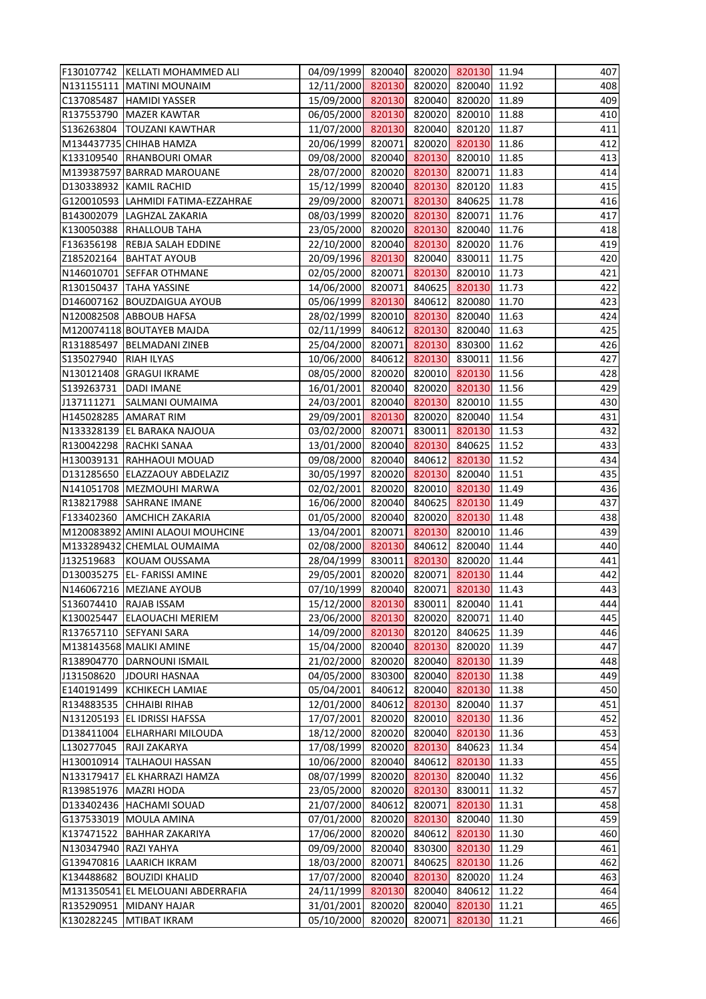|                         | F130107742   KELLATI MOHAMMED ALI  | 04/09/1999 820040 820020 820130 11.94 |        |                      |               |       | 407 |
|-------------------------|------------------------------------|---------------------------------------|--------|----------------------|---------------|-------|-----|
|                         | N131155111   MATINI MOUNAIM        | 12/11/2000 820130 820020 820040 11.92 |        |                      |               |       | 408 |
|                         | C137085487   HAMIDI YASSER         | 15/09/2000 820130 820040 820020 11.89 |        |                      |               |       | 409 |
|                         | R137553790   MAZER KAWTAR          | 06/05/2000 820130                     |        |                      | 820020 820010 | 11.88 | 410 |
|                         | S136263804   TOUZANI KAWTHAR       | 11/07/2000 820130                     |        |                      | 820040 820120 | 11.87 | 411 |
|                         | M134437735 CHIHAB HAMZA            | 20/06/1999                            | 820071 |                      | 820020 820130 | 11.86 | 412 |
|                         | K133109540 RHANBOURI OMAR          | 09/08/2000                            |        | 820040 820130 820010 |               | 11.85 | 413 |
|                         | M139387597 BARRAD MAROUANE         | 28/07/2000                            |        | 820020 820130 820071 |               | 11.83 | 414 |
|                         | D130338932 KAMIL RACHID            | 15/12/1999                            |        | 820040 820130 820120 |               | 11.83 | 415 |
|                         | G120010593 LAHMIDI FATIMA-EZZAHRAE | 29/09/2000 820071 820130 840625       |        |                      |               | 11.78 | 416 |
|                         | B143002079   LAGHZAL ZAKARIA       | 08/03/1999 820020 820130 820071       |        |                      |               | 11.76 | 417 |
|                         | K130050388 RHALLOUB TAHA           | 23/05/2000 820020 820130 820040       |        |                      |               | 11.76 | 418 |
|                         | F136356198   REBJA SALAH EDDINE    | 22/10/2000 820040 820130 820020       |        |                      |               | 11.76 | 419 |
|                         | Z185202164   BAHTAT AYOUB          | 20/09/1996 820130 820040 830011       |        |                      |               | 11.75 | 420 |
|                         | N146010701 SEFFAR OTHMANE          | 02/05/2000 820071 820130 820010       |        |                      |               | 11.73 | 421 |
|                         | R130150437 TAHA YASSINE            | 14/06/2000                            | 820071 |                      | 840625 820130 | 11.73 | 422 |
|                         | D146007162 BOUZDAIGUA AYOUB        | 05/06/1999 820130                     |        |                      | 840612 820080 | 11.70 | 423 |
|                         | N120082508 ABBOUB HAFSA            | 28/02/1999                            |        | 820010 820130 820040 |               | 11.63 | 424 |
|                         | M120074118 BOUTAYEB MAJDA          | 02/11/1999                            |        | 840612 820130 820040 |               | 11.63 | 425 |
|                         | R131885497   BELMADANI ZINEB       | 25/04/2000 820071 820130 830300       |        |                      |               | 11.62 | 426 |
|                         |                                    |                                       |        |                      |               |       |     |
| S135027940   RIAH ILYAS |                                    | 10/06/2000                            |        | 840612 820130 830011 |               | 11.56 | 427 |
|                         | N130121408 GRAGUI IKRAME           | 08/05/2000 820020 820010 820130       |        |                      |               | 11.56 | 428 |
| S139263731   DADI IMANE |                                    | 16/01/2001                            |        | 820040 820020 820130 |               | 11.56 | 429 |
|                         | J137111271 SALMANI OUMAIMA         | 24/03/2001                            |        | 820040 820130 820010 |               | 11.55 | 430 |
|                         | H145028285 AMARAT RIM              | 29/09/2001                            |        | 820130 820020 820040 |               | 11.54 | 431 |
|                         | N133328139 EL BARAKA NAJOUA        | 03/02/2000 820071                     |        |                      | 830011 820130 | 11.53 | 432 |
|                         | R130042298   RACHKI SANAA          | 13/01/2000 820040 820130 840625       |        |                      |               | 11.52 | 433 |
|                         | H130039131 RAHHAOUI MOUAD          | 09/08/2000                            | 820040 | 840612               | 820130        | 11.52 | 434 |
|                         | D131285650 ELAZZAOUY ABDELAZIZ     | 30/05/1997                            |        | 820020 820130 820040 |               | 11.51 | 435 |
|                         | N141051708 MEZMOUHI MARWA          | 02/02/2001                            |        | 820020 820010 820130 |               | 11.49 | 436 |
|                         | R138217988 SAHRANE IMANE           | 16/06/2000 820040 840625 820130 11.49 |        |                      |               |       | 437 |
|                         | F133402360 AMCHICH ZAKARIA         | 01/05/2000 820040 820020 820130 11.48 |        |                      |               |       | 438 |
|                         | M120083892 AMINI ALAOUI MOUHCINE   | 13/04/2001                            | 820071 | 820130               | 820010        | 11.46 | 439 |
|                         | M133289432 CHEMLAL OUMAIMA         | 02/08/2000 820130                     |        |                      | 840612 820040 | 11.44 | 440 |
|                         | J132519683 KOUAM OUSSAMA           | 28/04/1999                            | 830011 |                      | 820130 820020 | 11.44 | 441 |
|                         | D130035275 EL- FARISSI AMINE       | 29/05/2001                            | 820020 | 820071               | 820130        | 11.44 | 442 |
|                         | N146067216   MEZIANE AYOUB         | 07/10/1999                            | 820040 | 820071               | 820130        | 11.43 | 443 |
|                         | S136074410 RAJAB ISSAM             | 15/12/2000                            | 820130 | 830011               | 820040        | 11.41 | 444 |
|                         | K130025447 ELAOUACHI MERIEM        | 23/06/2000                            | 820130 |                      | 820020 820071 | 11.40 | 445 |
|                         | R137657110 SEFYANI SARA            | 14/09/2000                            | 820130 |                      | 820120 840625 | 11.39 | 446 |
|                         | M138143568 MALIKI AMINE            | 15/04/2000                            | 820040 | 820130               | 820020        | 11.39 | 447 |
|                         | R138904770   DARNOUNI ISMAIL       | 21/02/2000                            | 820020 |                      | 820040 820130 | 11.39 | 448 |
| J131508620              | <b>JDOURI HASNAA</b>               | 04/05/2000                            | 830300 |                      | 820040 820130 | 11.38 | 449 |
|                         | E140191499 KCHIKECH LAMIAE         | 05/04/2001                            | 840612 |                      | 820040 820130 | 11.38 | 450 |
|                         | R134883535 CHHAIBI RIHAB           | 12/01/2000                            | 840612 | 820130               | 820040        | 11.37 | 451 |
|                         | N131205193 EL IDRISSI HAFSSA       | 17/07/2001                            | 820020 |                      | 820010 820130 | 11.36 | 452 |
|                         | D138411004 ELHARHARI MILOUDA       | 18/12/2000                            | 820020 |                      | 820040 820130 | 11.36 | 453 |
|                         | L130277045 RAJI ZAKARYA            | 17/08/1999                            | 820020 | 820130               | 840623        | 11.34 | 454 |
|                         | H130010914   TALHAOUI HASSAN       | 10/06/2000                            | 820040 | 840612               | 820130        | 11.33 | 455 |
|                         | N133179417 EL KHARRAZI HAMZA       | 08/07/1999                            |        | 820020 820130        | 820040        | 11.32 | 456 |
|                         | R139851976   MAZRI HODA            | 23/05/2000                            | 820020 | 820130               | 830011        | 11.32 | 457 |
|                         |                                    |                                       |        |                      |               |       |     |
|                         | D133402436   HACHAMI SOUAD         | 21/07/2000                            | 840612 | 820071               | 820130        | 11.31 | 458 |
|                         | G137533019   MOULA AMINA           | 07/01/2000                            | 820020 | 820130               | 820040        | 11.30 | 459 |
|                         | K137471522 BAHHAR ZAKARIYA         | 17/06/2000                            | 820020 | 840612               | 820130        | 11.30 | 460 |
| N130347940 RAZI YAHYA   |                                    | 09/09/2000                            | 820040 |                      | 830300 820130 | 11.29 | 461 |
|                         | G139470816 LAARICH IKRAM           | 18/03/2000                            | 820071 | 840625               | 820130        | 11.26 | 462 |
|                         | K134488682   BOUZIDI KHALID        | 17/07/2000                            | 820040 | 820130               | 820020        | 11.24 | 463 |
|                         | M131350541 EL MELOUANI ABDERRAFIA  | 24/11/1999                            | 820130 | 820040               | 840612        | 11.22 | 464 |
|                         | R135290951 MIDANY HAJAR            | 31/01/2001                            | 820020 | 820040               | 820130        | 11.21 | 465 |
|                         | K130282245   MTIBAT IKRAM          | 05/10/2000                            | 820020 | 820071               | 820130        | 11.21 | 466 |